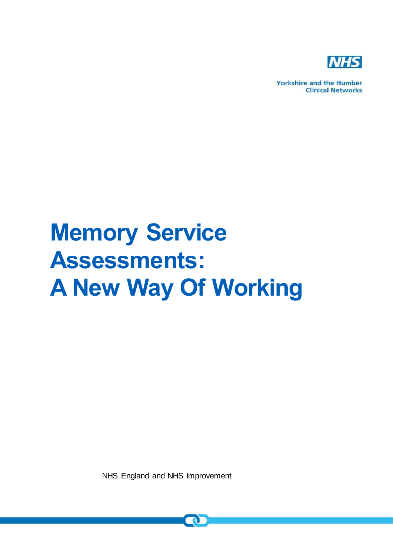

**Yorkshire and the Humber Clinical Networks** 

# **Memory Service Assessments: A New Way Of Working**

NHS England and NHS Improvement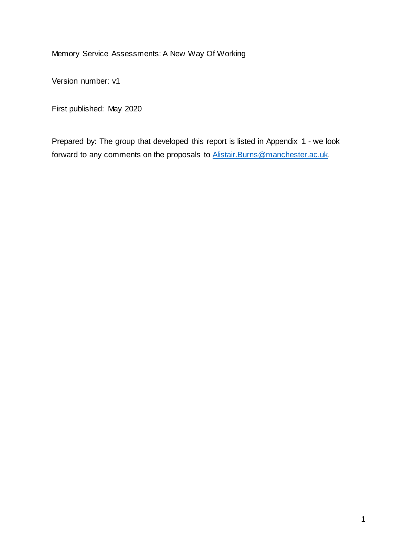Memory Service Assessments: A New Way Of Working

Version number: v1

First published: May 2020

Prepared by: The group that developed this report is listed in Appendix 1 - we look forward to any comments on the proposals to [Alistair.Burns@manchester.ac.uk.](mailto:Alistair.Burns@manchester.ac.uk)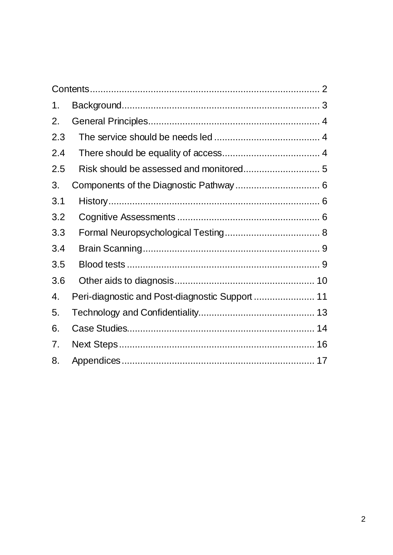<span id="page-2-0"></span>

| 1.  |                                                 |  |
|-----|-------------------------------------------------|--|
| 2.  |                                                 |  |
| 2.3 |                                                 |  |
| 2.4 |                                                 |  |
| 2.5 |                                                 |  |
| 3.  |                                                 |  |
| 3.1 |                                                 |  |
| 3.2 |                                                 |  |
| 3.3 |                                                 |  |
| 3.4 |                                                 |  |
| 3.5 |                                                 |  |
| 3.6 |                                                 |  |
| 4.  | Peri-diagnostic and Post-diagnostic Support  11 |  |
| 5.  |                                                 |  |
| 6.  |                                                 |  |
| 7.  |                                                 |  |
| 8.  |                                                 |  |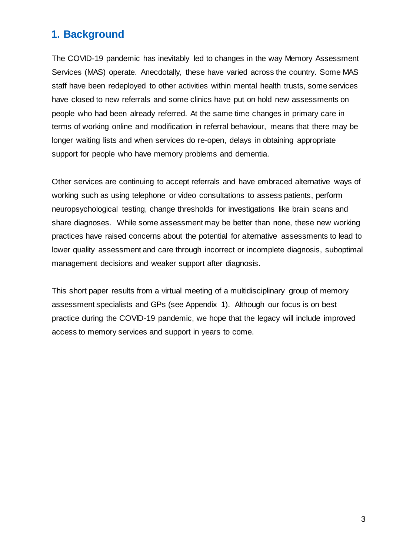# <span id="page-3-0"></span>**1. Background**

The COVID-19 pandemic has inevitably led to changes in the way Memory Assessment Services (MAS) operate. Anecdotally, these have varied across the country. Some MAS staff have been redeployed to other activities within mental health trusts, some services have closed to new referrals and some clinics have put on hold new assessments on people who had been already referred. At the same time changes in primary care in terms of working online and modification in referral behaviour, means that there may be longer waiting lists and when services do re-open, delays in obtaining appropriate support for people who have memory problems and dementia.

Other services are continuing to accept referrals and have embraced alternative ways of working such as using telephone or video consultations to assess patients, perform neuropsychological testing, change thresholds for investigations like brain scans and share diagnoses. While some assessment may be better than none, these new working practices have raised concerns about the potential for alternative assessments to lead to lower quality assessment and care through incorrect or incomplete diagnosis, suboptimal management decisions and weaker support after diagnosis.

This short paper results from a virtual meeting of a multidisciplinary group of memory assessment specialists and GPs (see Appendix 1). Although our focus is on best practice during the COVID-19 pandemic, we hope that the legacy will include improved access to memory services and support in years to come.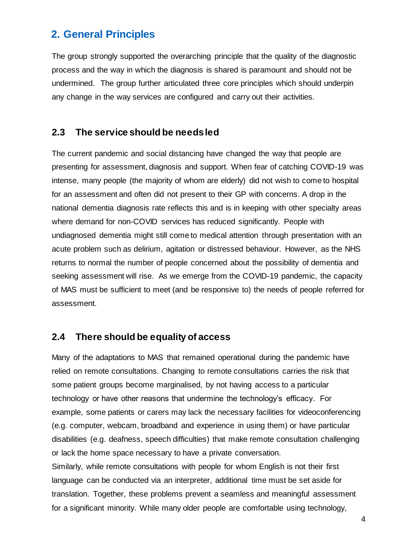# <span id="page-4-0"></span>**2. General Principles**

The group strongly supported the overarching principle that the quality of the diagnostic process and the way in which the diagnosis is shared is paramount and should not be undermined. The group further articulated three core principles which should underpin any change in the way services are configured and carry out their activities.

#### <span id="page-4-1"></span>**2.3 The service should be needs led**

The current pandemic and social distancing have changed the way that people are presenting for assessment, diagnosis and support. When fear of catching COVID-19 was intense, many people (the majority of whom are elderly) did not wish to come to hospital for an assessment and often did not present to their GP with concerns. A drop in the national dementia diagnosis rate reflects this and is in keeping with other specialty areas where demand for non-COVID services has reduced significantly. People with undiagnosed dementia might still come to medical attention through presentation with an acute problem such as delirium, agitation or distressed behaviour. However, as the NHS returns to normal the number of people concerned about the possibility of dementia and seeking assessment will rise. As we emerge from the COVID-19 pandemic, the capacity of MAS must be sufficient to meet (and be responsive to) the needs of people referred for assessment.

# <span id="page-4-2"></span>**2.4 There should be equality of access**

Many of the adaptations to MAS that remained operational during the pandemic have relied on remote consultations. Changing to remote consultations carries the risk that some patient groups become marginalised, by not having access to a particular technology or have other reasons that undermine the technology's efficacy. For example, some patients or carers may lack the necessary facilities for videoconferencing (e.g. computer, webcam, broadband and experience in using them) or have particular disabilities (e.g. deafness, speech difficulties) that make remote consultation challenging or lack the home space necessary to have a private conversation. Similarly, while remote consultations with people for whom English is not their first language can be conducted via an interpreter, additional time must be set aside for translation. Together, these problems prevent a seamless and meaningful assessment

for a significant minority. While many older people are comfortable using technology,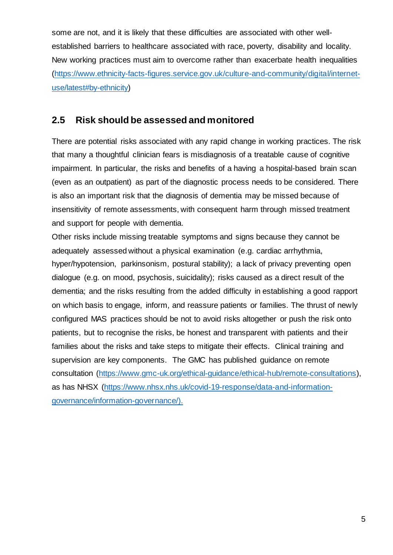some are not, and it is likely that these difficulties are associated with other wellestablished barriers to healthcare associated with race, poverty, disability and locality. New working practices must aim to overcome rather than exacerbate health inequalities [\(https://www.ethnicity-facts-figures.service.gov.uk/culture-and-community/digital/internet](https://www.ethnicity-facts-figures.service.gov.uk/culture-and-community/digital/internet-use/latest#by-ethnicity)[use/latest#by-ethnicity\)](https://www.ethnicity-facts-figures.service.gov.uk/culture-and-community/digital/internet-use/latest#by-ethnicity)

## <span id="page-5-0"></span>**2.5 Risk should be assessed and monitored**

There are potential risks associated with any rapid change in working practices. The risk that many a thoughtful clinician fears is misdiagnosis of a treatable cause of cognitive impairment. In particular, the risks and benefits of a having a hospital-based brain scan (even as an outpatient) as part of the diagnostic process needs to be considered. There is also an important risk that the diagnosis of dementia may be missed because of insensitivity of remote assessments, with consequent harm through missed treatment and support for people with dementia.

Other risks include missing treatable symptoms and signs because they cannot be adequately assessed without a physical examination (e.g. cardiac arrhythmia, hyper/hypotension, parkinsonism, postural stability); a lack of privacy preventing open dialogue (e.g. on mood, psychosis, suicidality); risks caused as a direct result of the dementia; and the risks resulting from the added difficulty in establishing a good rapport on which basis to engage, inform, and reassure patients or families. The thrust of newly configured MAS practices should be not to avoid risks altogether or push the risk onto patients, but to recognise the risks, be honest and transparent with patients and their families about the risks and take steps to mitigate their effects. Clinical training and supervision are key components. The GMC has published guidance on remote consultation [\(https://www.gmc-uk.org/ethical-guidance/ethical-hub/remote-consultations\),](https://www.gmc-uk.org/ethical-guidance/ethical-hub/remote-consultations) as has NHSX [\(https://www.nhsx.nhs.uk/covid-19-response/data-and-information](https://www.nhsx.nhs.uk/covid-19-response/data-and-information-governance/information-governance/)[governance/information-governance/\).](https://www.nhsx.nhs.uk/covid-19-response/data-and-information-governance/information-governance/)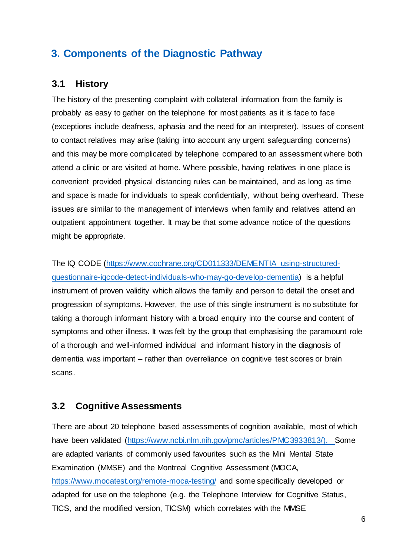# <span id="page-6-0"></span>**3. Components of the Diagnostic Pathway**

### <span id="page-6-1"></span>**3.1 History**

The history of the presenting complaint with collateral information from the family is probably as easy to gather on the telephone for most patients as it is face to face (exceptions include deafness, aphasia and the need for an interpreter). Issues of consent to contact relatives may arise (taking into account any urgent safeguarding concerns) and this may be more complicated by telephone compared to an assessment where both attend a clinic or are visited at home. Where possible, having relatives in one place is convenient provided physical distancing rules can be maintained, and as long as time and space is made for individuals to speak confidentially, without being overheard. These issues are similar to the management of interviews when family and relatives attend an outpatient appointment together. It may be that some advance notice of the questions might be appropriate.

The IQ CODE [\(https://www.cochrane.org/CD011333/DEMENTIA\\_using-structured](https://www.cochrane.org/CD011333/DEMENTIA_using-structured-questionnaire-iqcode-detect-individuals-who-may-go-develop-dementia)[questionnaire-iqcode-detect-individuals-who-may-go-develop-dementia\)](https://www.cochrane.org/CD011333/DEMENTIA_using-structured-questionnaire-iqcode-detect-individuals-who-may-go-develop-dementia) is a helpful instrument of proven validity which allows the family and person to detail the onset and progression of symptoms. However, the use of this single instrument is no substitute for taking a thorough informant history with a broad enquiry into the course and content of symptoms and other illness. It was felt by the group that emphasising the paramount role of a thorough and well-informed individual and informant history in the diagnosis of dementia was important – rather than overreliance on cognitive test scores or brain scans.

#### <span id="page-6-2"></span>**3.2 Cognitive Assessments**

There are about 20 telephone based assessments of cognition available, most of which have been validated [\(https://www.ncbi.nlm.nih.gov/pmc/articles/PMC3933813/\).](https://www.ncbi.nlm.nih.gov/pmc/articles/PMC3933813/) Some are adapted variants of commonly used favourites such as the Mini Mental State Examination (MMSE) and the Montreal Cognitive Assessment (MOCA, <https://www.mocatest.org/remote-moca-testing/> and some specifically developed or adapted for use on the telephone (e.g. the Telephone Interview for Cognitive Status, TICS, and the modified version, TICSM) which correlates with the MMSE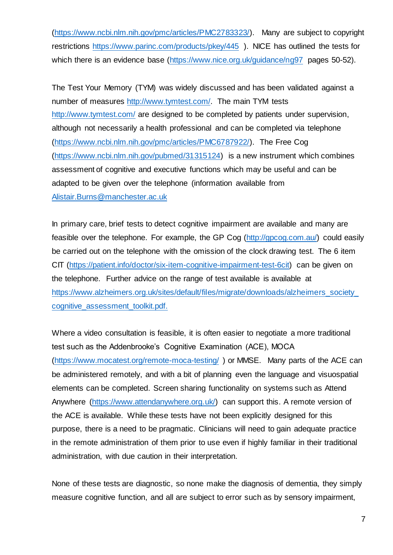[\(https://www.ncbi.nlm.nih.gov/pmc/articles/PMC2783323/\).](https://www.ncbi.nlm.nih.gov/pmc/articles/PMC2783323/) Many are subject to copyright restrictions <https://www.parinc.com/products/pkey/445> ). NICE has outlined the tests for which there is an evidence base [\(https://www.nice.org.uk/guidance/ng97](https://www.nice.org.uk/guidance/ng97) pages 50-52).

The [Test Your Memory \(TYM\)](https://www.ncbi.nlm.nih.gov/pmc/articles/PMC6787922/) was widely discussed and has been validated against a number of measures [http://www.tymtest.com/.](http://www.tymtest.com/) The main TYM tests <http://www.tymtest.com/> are designed to be completed by patients under supervision, although not necessarily a health professional and can be completed via telephone [\(https://www.ncbi.nlm.nih.gov/pmc/articles/PMC6787922/\).](https://www.ncbi.nlm.nih.gov/pmc/articles/PMC6787922/) The Free Cog [\(https://www.ncbi.nlm.nih.gov/pubmed/31315124\)](https://www.ncbi.nlm.nih.gov/pubmed/31315124) is a new instrument which combines assessment of cognitive and executive functions which may be useful and can be adapted to be given over the telephone (information available from [Alistair.Burns@manchester.ac.uk](mailto:Alistair.Burns@manchester.ac.uk)

In primary care, brief tests to detect cognitive impairment are available and many are feasible over the telephone. For example, the GP Cog [\(http://gpcog.com.au/\)](http://gpcog.com.au/) could easily be carried out on the telephone with the omission of the clock drawing test. The 6 item CIT [\(https://patient.info/doctor/six-item-cognitive-impairment-test-6cit\)](https://patient.info/doctor/six-item-cognitive-impairment-test-6cit) can be given on the telephone. Further advice on the range of test available is available at [https://www.alzheimers.org.uk/sites/default/files/migrate/downloads/alzheimers\\_society\\_](https://www.alzheimers.org.uk/sites/default/files/migrate/downloads/alzheimers_society_cognitive_assessment_toolkit.pdf) [cognitive\\_assessment\\_toolkit.pdf.](https://www.alzheimers.org.uk/sites/default/files/migrate/downloads/alzheimers_society_cognitive_assessment_toolkit.pdf)

Where a video consultation is feasible, it is often easier to negotiate a more traditional test such as the Addenbrooke's Cognitive Examination (ACE), MOCA [\(https://www.mocatest.org/remote-moca-testing/](https://www.mocatest.org/remote-moca-testing/) ) or MMSE. Many parts of the ACE can be administered remotely, and with a bit of planning even the language and visuospatial elements can be completed. Screen sharing functionality on systems such as Attend Anywhere [\(https://www.attendanywhere.org.uk/\)](https://www.attendanywhere.org.uk/) can support this. A remote version of the ACE is available. While these tests have not been explicitly designed for this purpose, there is a need to be pragmatic. Clinicians will need to gain adequate practice in the remote administration of them prior to use even if highly familiar in their traditional administration, with due caution in their interpretation.

None of these tests are diagnostic, so none make the diagnosis of dementia, they simply measure cognitive function, and all are subject to error such as by sensory impairment,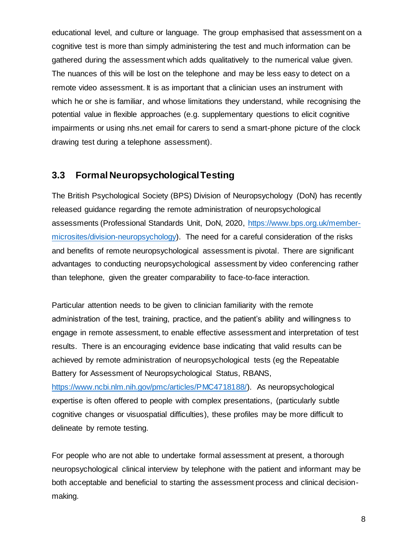educational level, and culture or language. The group emphasised that assessment on a cognitive test is more than simply administering the test and much information can be gathered during the assessment which adds qualitatively to the numerical value given. The nuances of this will be lost on the telephone and may be less easy to detect on a remote video assessment. It is as important that a clinician uses an instrument with which he or she is familiar, and whose limitations they understand, while recognising the potential value in flexible approaches (e.g. supplementary questions to elicit cognitive impairments or using nhs.net email for carers to send a smart-phone picture of the clock drawing test during a telephone assessment).

### <span id="page-8-0"></span>**3.3 Formal Neuropsychological Testing**

The British Psychological Society (BPS) Division of Neuropsychology (DoN) has recently released guidance regarding the remote administration of neuropsychological assessments (Professional Standards Unit, DoN, 2020, [https://www.bps.org.uk/member](https://www.bps.org.uk/member-microsites/division-neuropsychology)[microsites/division-neuropsychology\).](https://www.bps.org.uk/member-microsites/division-neuropsychology) The need for a careful consideration of the risks and benefits of remote neuropsychological assessment is pivotal. There are significant advantages to conducting neuropsychological assessment by video conferencing rather than telephone, given the greater comparability to face-to-face interaction.

Particular attention needs to be given to clinician familiarity with the remote administration of the test, training, practice, and the patient's ability and willingness to engage in remote assessment, to enable effective assessment and interpretation of test results. There is an encouraging evidence base indicating that valid results can be achieved by remote administration of neuropsychological tests (eg the Repeatable Battery for Assessment of Neuropsychological Status, RBANS,

[https://www.ncbi.nlm.nih.gov/pmc/articles/PMC4718188/\).](https://www.ncbi.nlm.nih.gov/pmc/articles/PMC4718188/) As neuropsychological expertise is often offered to people with complex presentations, (particularly subtle cognitive changes or visuospatial difficulties), these profiles may be more difficult to delineate by remote testing.

For people who are not able to undertake formal assessment at present, a thorough neuropsychological clinical interview by telephone with the patient and informant may be both acceptable and beneficial to starting the assessment process and clinical decisionmaking.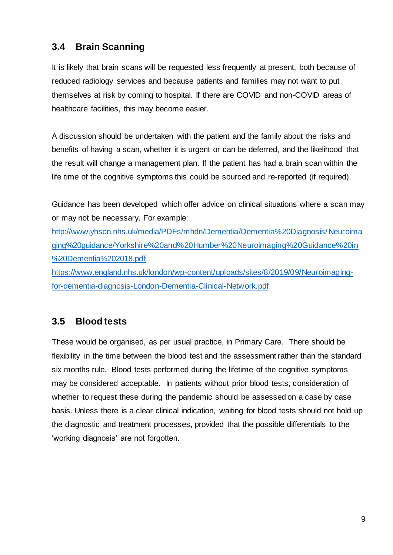# <span id="page-9-0"></span>**3.4 Brain Scanning**

It is likely that brain scans will be requested less frequently at present, both because of reduced radiology services and because patients and families may not want to put themselves at risk by coming to hospital. If there are COVID and non-COVID areas of healthcare facilities, this may become easier.

A discussion should be undertaken with the patient and the family about the risks and benefits of having a scan, whether it is urgent or can be deferred, and the likelihood that the result will change a management plan. If the patient has had a brain scan within the life time of the cognitive symptoms this could be sourced and re-reported (if required).

Guidance has been developed which offer advice on clinical situations where a scan may or may not be necessary. For example:

[http://www.yhscn.nhs.uk/media/PDFs/mhdn/Dementia/Dementia%20Diagnosis/Neuroima](http://www.yhscn.nhs.uk/media/PDFs/mhdn/Dementia/Dementia%20Diagnosis/Neuroimaging%20guidance/Yorkshire%20and%20Humber%20Neuroimaging%20Guidance%20in%20Dementia%202018.pdf) [ging%20guidance/Yorkshire%20and%20Humber%20Neuroimaging%20Guidance%20in](http://www.yhscn.nhs.uk/media/PDFs/mhdn/Dementia/Dementia%20Diagnosis/Neuroimaging%20guidance/Yorkshire%20and%20Humber%20Neuroimaging%20Guidance%20in%20Dementia%202018.pdf) [%20Dementia%202018.pdf](http://www.yhscn.nhs.uk/media/PDFs/mhdn/Dementia/Dementia%20Diagnosis/Neuroimaging%20guidance/Yorkshire%20and%20Humber%20Neuroimaging%20Guidance%20in%20Dementia%202018.pdf) [https://www.england.nhs.uk/london/wp-content/uploads/sites/8/2019/09/Neuroimaging-](https://www.england.nhs.uk/london/wp-content/uploads/sites/8/2019/09/Neuroimaging-for-dementia-diagnosis-London-Dementia-Clinical-Network.pdf)

[for-dementia-diagnosis-London-Dementia-Clinical-Network.pdf](https://www.england.nhs.uk/london/wp-content/uploads/sites/8/2019/09/Neuroimaging-for-dementia-diagnosis-London-Dementia-Clinical-Network.pdf)

# <span id="page-9-1"></span>**3.5 Blood tests**

These would be organised, as per usual practice, in Primary Care. There should be flexibility in the time between the blood test and the assessment rather than the standard six months rule. Blood tests performed during the lifetime of the cognitive symptoms may be considered acceptable. In patients without prior blood tests, consideration of whether to request these during the pandemic should be assessed on a case by case basis. Unless there is a clear clinical indication, waiting for blood tests should not hold up the diagnostic and treatment processes, provided that the possible differentials to the 'working diagnosis' are not forgotten.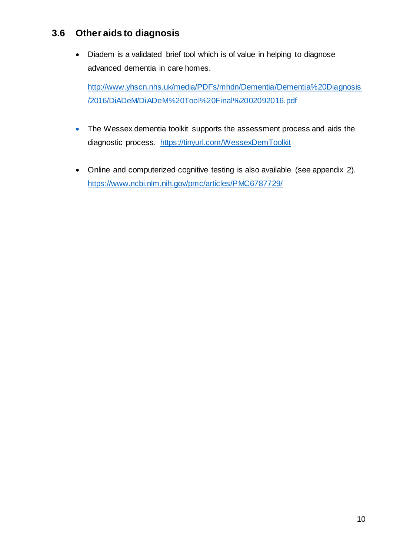## <span id="page-10-0"></span>**3.6 Other aids to diagnosis**

• Diadem is a validated brief tool which is of value in helping to diagnose advanced dementia in care homes.

[http://www.yhscn.nhs.uk/media/PDFs/mhdn/Dementia/Dementia%20Diagnosis](http://www.yhscn.nhs.uk/media/PDFs/mhdn/Dementia/Dementia%20Diagnosis/2016/DiADeM/DiADeM%20Tool%20Final%2002092016.pdf) [/2016/DiADeM/DiADeM%20Tool%20Final%2002092016.pdf](http://www.yhscn.nhs.uk/media/PDFs/mhdn/Dementia/Dementia%20Diagnosis/2016/DiADeM/DiADeM%20Tool%20Final%2002092016.pdf) 

- The Wessex dementia toolkit supports the assessment process and aids the diagnostic process. <https://tinyurl.com/WessexDemToolkit>
- Online and computerized cognitive testing is also available (see appendix 2). <https://www.ncbi.nlm.nih.gov/pmc/articles/PMC6787729/>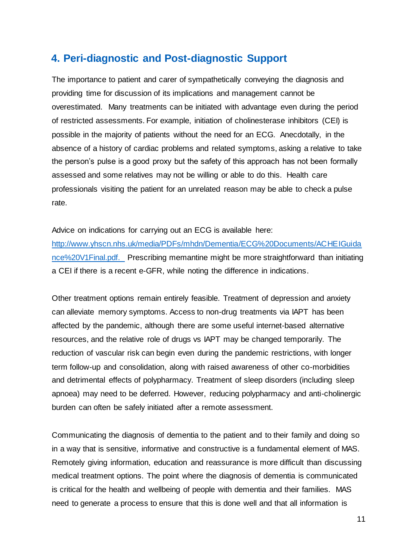# <span id="page-11-0"></span>**4. Peri-diagnostic and Post-diagnostic Support**

The importance to patient and carer of sympathetically conveying the diagnosis and providing time for discussion of its implications and management cannot be overestimated. Many treatments can be initiated with advantage even during the period of restricted assessments. For example, initiation of cholinesterase inhibitors (CEI) is possible in the majority of patients without the need for an ECG. Anecdotally, in the absence of a history of cardiac problems and related symptoms, asking a relative to take the person's pulse is a good proxy but the safety of this approach has not been formally assessed and some relatives may not be willing or able to do this. Health care professionals visiting the patient for an unrelated reason may be able to check a pulse rate.

Advice on indications for carrying out an ECG is available here:

[http://www.yhscn.nhs.uk/media/PDFs/mhdn/Dementia/ECG%20Documents/ACHEIGuida](http://www.yhscn.nhs.uk/media/PDFs/mhdn/Dementia/ECG%20Documents/ACHEIGuidance%20V1Final.pdf) [nce%20V1Final.pdf.](http://www.yhscn.nhs.uk/media/PDFs/mhdn/Dementia/ECG%20Documents/ACHEIGuidance%20V1Final.pdf) Prescribing memantine might be more straightforward than initiating a CEI if there is a recent e-GFR, while noting the difference in indications.

Other treatment options remain entirely feasible. Treatment of depression and anxiety can alleviate memory symptoms. Access to non-drug treatments via IAPT has been affected by the pandemic, although there are some useful internet-based alternative resources, and the relative role of drugs vs IAPT may be changed temporarily. The reduction of vascular risk can begin even during the pandemic restrictions, with longer term follow-up and consolidation, along with raised awareness of other co-morbidities and detrimental effects of polypharmacy. Treatment of sleep disorders (including sleep apnoea) may need to be deferred. However, reducing polypharmacy and anti-cholinergic burden can often be safely initiated after a remote assessment.

Communicating the diagnosis of dementia to the patient and to their family and doing so in a way that is sensitive, informative and constructive is a fundamental element of MAS. Remotely giving information, education and reassurance is more difficult than discussing medical treatment options. The point where the diagnosis of dementia is communicated is critical for the health and wellbeing of people with dementia and their families. MAS need to generate a process to ensure that this is done well and that all information is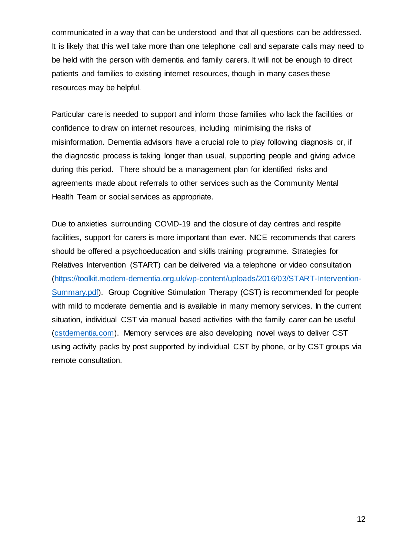communicated in a way that can be understood and that all questions can be addressed. It is likely that this well take more than one telephone call and separate calls may need to be held with the person with dementia and family carers. It will not be enough to direct patients and families to existing internet resources, though in many cases these resources may be helpful.

Particular care is needed to support and inform those families who lack the facilities or confidence to draw on internet resources, including minimising the risks of misinformation. Dementia advisors have a crucial role to play following diagnosis or, if the diagnostic process is taking longer than usual, supporting people and giving advice during this period. There should be a management plan for identified risks and agreements made about referrals to other services such as the Community Mental Health Team or social services as appropriate.

Due to anxieties surrounding COVID-19 and the closure of day centres and respite facilities, support for carers is more important than ever. NICE recommends that carers should be offered a psychoeducation and skills training programme. Strategies for Relatives Intervention (START) can be delivered via a telephone or video consultation [\(https://toolkit.modem-dementia.org.uk/wp-content/uploads/2016/03/START-Intervention-](https://toolkit.modem-dementia.org.uk/wp-content/uploads/2016/03/START-Intervention-Summary.pdf)[Summary.pdf\)](https://toolkit.modem-dementia.org.uk/wp-content/uploads/2016/03/START-Intervention-Summary.pdf). Group Cognitive Stimulation Therapy (CST) is recommended for people with mild to moderate dementia and is available in many memory services. In the current situation, individual CST via manual based activities with the family carer can be useful [\(cstdementia.com\)](http://www.cstdementia.com/). Memory services are also developing novel ways to deliver CST using activity packs by post supported by individual CST by phone, or by CST groups via remote consultation.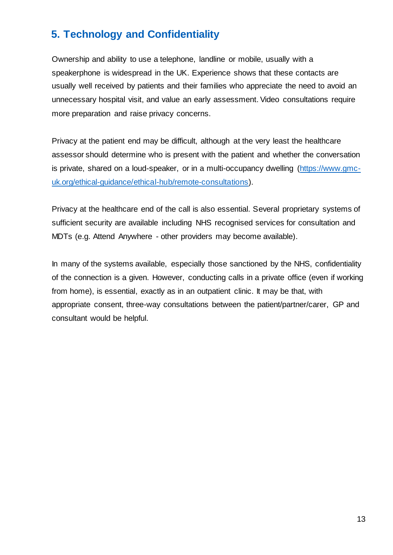# <span id="page-13-0"></span>**5. Technology and Confidentiality**

Ownership and ability to use a telephone, landline or mobile, usually with a speakerphone is widespread in the UK. Experience shows that these contacts are usually well received by patients and their families who appreciate the need to avoid an unnecessary hospital visit, and value an early assessment. Video consultations require more preparation and raise privacy concerns.

Privacy at the patient end may be difficult, although at the very least the healthcare assessor should determine who is present with the patient and whether the conversation is private, shared on a loud-speaker, or in a multi-occupancy dwelling [\(https://www.gmc](https://www.gmc-uk.org/ethical-guidance/ethical-hub/remote-consultations)[uk.org/ethical-guidance/ethical-hub/remote-consultations\).](https://www.gmc-uk.org/ethical-guidance/ethical-hub/remote-consultations)

Privacy at the healthcare end of the call is also essential. Several proprietary systems of sufficient security are available including NHS recognised services for consultation and MDTs (e.g. Attend Anywhere - other providers may become available).

In many of the systems available, especially those sanctioned by the NHS, confidentiality of the connection is a given. However, conducting calls in a private office (even if working from home), is essential, exactly as in an outpatient clinic. It may be that, with appropriate consent, three-way consultations between the patient/partner/carer, GP and consultant would be helpful.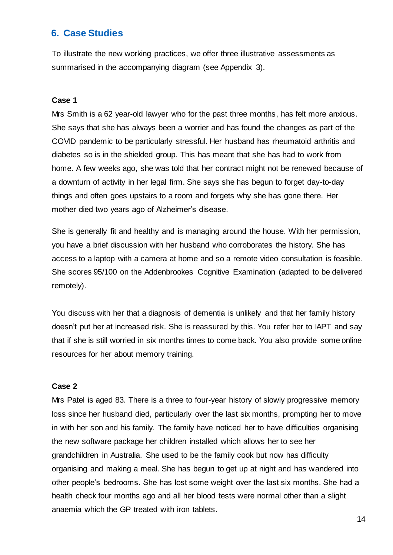#### <span id="page-14-0"></span>**6. Case Studies**

To illustrate the new working practices, we offer three illustrative assessments as summarised in the accompanying diagram (see Appendix 3).

#### **Case 1**

Mrs Smith is a 62 year-old lawyer who for the past three months, has felt more anxious. She says that she has always been a worrier and has found the changes as part of the COVID pandemic to be particularly stressful. Her husband has rheumatoid arthritis and diabetes so is in the shielded group. This has meant that she has had to work from home. A few weeks ago, she was told that her contract might not be renewed because of a downturn of activity in her legal firm. She says she has begun to forget day-to-day things and often goes upstairs to a room and forgets why she has gone there. Her mother died two years ago of Alzheimer's disease.

She is generally fit and healthy and is managing around the house. With her permission, you have a brief discussion with her husband who corroborates the history. She has access to a laptop with a camera at home and so a remote video consultation is feasible. She scores 95/100 on the Addenbrookes Cognitive Examination (adapted to be delivered remotely).

You discuss with her that a diagnosis of dementia is unlikely and that her family history doesn't put her at increased risk. She is reassured by this. You refer her to IAPT and say that if she is still worried in six months times to come back. You also provide some online resources for her about memory training.

#### **Case 2**

Mrs Patel is aged 83. There is a three to four-year history of slowly progressive memory loss since her husband died, particularly over the last six months, prompting her to move in with her son and his family. The family have noticed her to have difficulties organising the new software package her children installed which allows her to see her grandchildren in Australia. She used to be the family cook but now has difficulty organising and making a meal. She has begun to get up at night and has wandered into other people's bedrooms. She has lost some weight over the last six months. She had a health check four months ago and all her blood tests were normal other than a slight anaemia which the GP treated with iron tablets.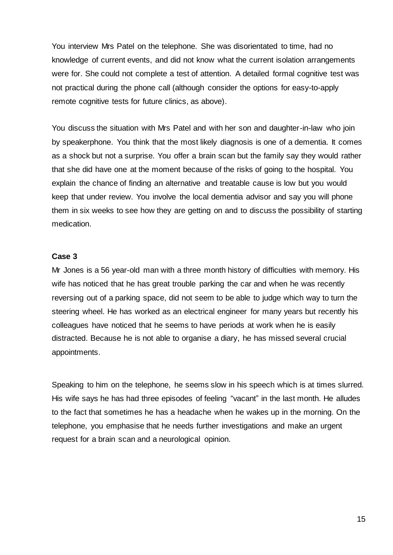You interview Mrs Patel on the telephone. She was disorientated to time, had no knowledge of current events, and did not know what the current isolation arrangements were for. She could not complete a test of attention. A detailed formal cognitive test was not practical during the phone call (although consider the options for easy-to-apply remote cognitive tests for future clinics, as above).

You discuss the situation with Mrs Patel and with her son and daughter-in-law who join by speakerphone. You think that the most likely diagnosis is one of a dementia. It comes as a shock but not a surprise. You offer a brain scan but the family say they would rather that she did have one at the moment because of the risks of going to the hospital. You explain the chance of finding an alternative and treatable cause is low but you would keep that under review. You involve the local dementia advisor and say you will phone them in six weeks to see how they are getting on and to discuss the possibility of starting medication.

#### **Case 3**

Mr Jones is a 56 year-old man with a three month history of difficulties with memory. His wife has noticed that he has great trouble parking the car and when he was recently reversing out of a parking space, did not seem to be able to judge which way to turn the steering wheel. He has worked as an electrical engineer for many years but recently his colleagues have noticed that he seems to have periods at work when he is easily distracted. Because he is not able to organise a diary, he has missed several crucial appointments.

Speaking to him on the telephone, he seems slow in his speech which is at times slurred. His wife says he has had three episodes of feeling "vacant" in the last month. He alludes to the fact that sometimes he has a headache when he wakes up in the morning. On the telephone, you emphasise that he needs further investigations and make an urgent request for a brain scan and a neurological opinion.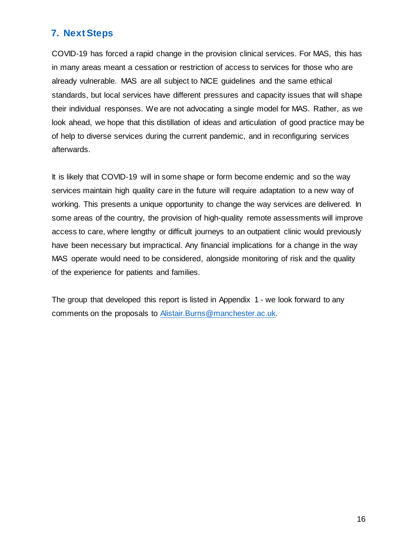## <span id="page-16-0"></span>**7. Next Steps**

COVID-19 has forced a rapid change in the provision clinical services. For MAS, this has in many areas meant a cessation or restriction of access to services for those who are already vulnerable. MAS are all subject to NICE guidelines and the same ethical standards, but local services have different pressures and capacity issues that will shape their individual responses. We are not advocating a single model for MAS. Rather, as we look ahead, we hope that this distillation of ideas and articulation of good practice may be of help to diverse services during the current pandemic, and in reconfiguring services afterwards.

It is likely that COVID-19 will in some shape or form become endemic and so the way services maintain high quality care in the future will require adaptation to a new way of working. This presents a unique opportunity to change the way services are delivered. In some areas of the country, the provision of high-quality remote assessments will improve access to care, where lengthy or difficult journeys to an outpatient clinic would previously have been necessary but impractical. Any financial implications for a change in the way MAS operate would need to be considered, alongside monitoring of risk and the quality of the experience for patients and families.

The group that developed this report is listed in Appendix 1 - we look forward to any comments on the proposals to [Alistair.Burns@manchester.ac.uk.](mailto:Alistair.Burns@manchester.ac.uk)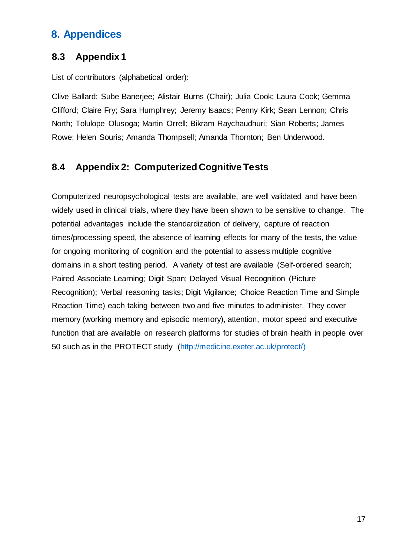# <span id="page-17-0"></span>**8. Appendices**

### **8.3 Appendix 1**

List of contributors (alphabetical order):

Clive Ballard; Sube Banerjee; Alistair Burns (Chair); Julia Cook; Laura Cook; Gemma Clifford; Claire Fry; Sara Humphrey; Jeremy Isaacs; Penny Kirk; Sean Lennon; Chris North; Tolulope Olusoga; Martin Orrell; Bikram Raychaudhuri; Sian Roberts; James Rowe; Helen Souris; Amanda Thompsell; Amanda Thornton; Ben Underwood.

## **8.4 Appendix 2: Computerized Cognitive Tests**

Computerized neuropsychological tests are available, are well validated and have been widely used in clinical trials, where they have been shown to be sensitive to change. The potential advantages include the standardization of delivery, capture of reaction times/processing speed, the absence of learning effects for many of the tests, the value for ongoing monitoring of cognition and the potential to assess multiple cognitive domains in a short testing period. A variety of test are available (Self-ordered search; Paired Associate Learning; Digit Span; Delayed Visual Recognition (Picture Recognition); Verbal reasoning tasks; Digit Vigilance; Choice Reaction Time and Simple Reaction Time) each taking between two and five minutes to administer. They cover memory (working memory and episodic memory), attention, motor speed and executive function that are available on research platforms for studies of brain health in people over 50 such as in the PROTECT study [\(http://medicine.exeter.ac.uk/protect/\)](https://eur03.safelinks.protection.outlook.com/?url=http%3A%2F%2Fmedicine.exeter.ac.uk%2Fprotect%2F&data=02%7C01%7CC.Ballard%40exeter.ac.uk%7C410ff3d20944405d4b9e08d7cf456fa1%7C912a5d77fb984eeeaf321334d8f04a53%7C0%7C0%7C637205769435152401&sdata=26jWSlwGwJb75KsN86zaoSnl7WP%2BuNkXByAZN0FmeUU%3D&reserved=0)